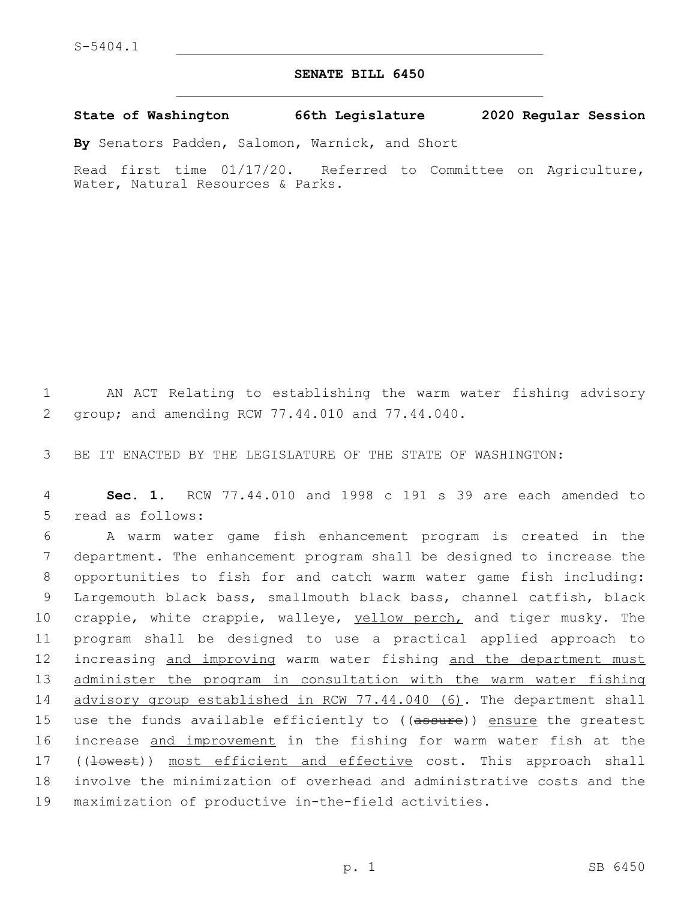## **SENATE BILL 6450**

**State of Washington 66th Legislature 2020 Regular Session**

**By** Senators Padden, Salomon, Warnick, and Short

Read first time 01/17/20. Referred to Committee on Agriculture, Water, Natural Resources & Parks.

1 AN ACT Relating to establishing the warm water fishing advisory 2 group; and amending RCW 77.44.010 and 77.44.040.

3 BE IT ENACTED BY THE LEGISLATURE OF THE STATE OF WASHINGTON:

4 **Sec. 1.** RCW 77.44.010 and 1998 c 191 s 39 are each amended to 5 read as follows:

6 A warm water game fish enhancement program is created in the 7 department. The enhancement program shall be designed to increase the 8 opportunities to fish for and catch warm water game fish including: 9 Largemouth black bass, smallmouth black bass, channel catfish, black 10 crappie, white crappie, walleye, yellow perch, and tiger musky. The 11 program shall be designed to use a practical applied approach to 12 increasing and improving warm water fishing and the department must 13 administer the program in consultation with the warm water fishing 14 advisory group established in RCW 77.44.040 (6). The department shall 15 use the funds available efficiently to ((assure)) ensure the greatest 16 increase and improvement in the fishing for warm water fish at the 17 ((lowest)) most efficient and effective cost. This approach shall 18 involve the minimization of overhead and administrative costs and the 19 maximization of productive in-the-field activities.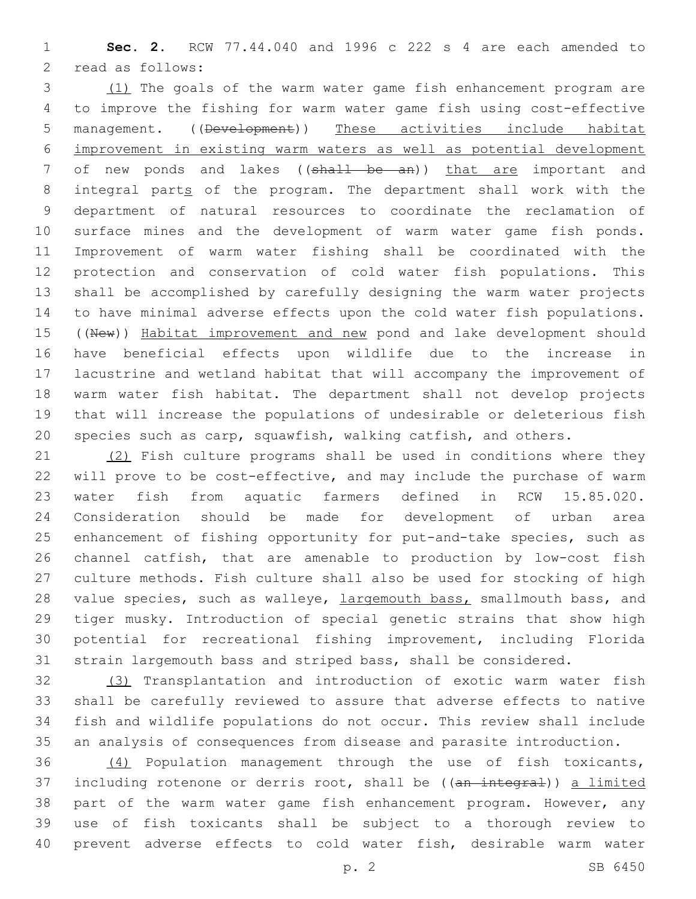**Sec. 2.** RCW 77.44.040 and 1996 c 222 s 4 are each amended to 2 read as follows:

 (1) The goals of the warm water game fish enhancement program are to improve the fishing for warm water game fish using cost-effective management. ((Development)) These activities include habitat improvement in existing warm waters as well as potential development 7 of new ponds and lakes ((shall be an)) that are important and integral parts of the program. The department shall work with the department of natural resources to coordinate the reclamation of surface mines and the development of warm water game fish ponds. Improvement of warm water fishing shall be coordinated with the protection and conservation of cold water fish populations. This shall be accomplished by carefully designing the warm water projects to have minimal adverse effects upon the cold water fish populations. 15 ((New)) Habitat improvement and new pond and lake development should have beneficial effects upon wildlife due to the increase in lacustrine and wetland habitat that will accompany the improvement of warm water fish habitat. The department shall not develop projects that will increase the populations of undesirable or deleterious fish species such as carp, squawfish, walking catfish, and others.

21 (2) Fish culture programs shall be used in conditions where they will prove to be cost-effective, and may include the purchase of warm water fish from aquatic farmers defined in RCW 15.85.020. Consideration should be made for development of urban area enhancement of fishing opportunity for put-and-take species, such as channel catfish, that are amenable to production by low-cost fish culture methods. Fish culture shall also be used for stocking of high 28 value species, such as walleye, largemouth bass, smallmouth bass, and tiger musky. Introduction of special genetic strains that show high potential for recreational fishing improvement, including Florida strain largemouth bass and striped bass, shall be considered.

 (3) Transplantation and introduction of exotic warm water fish shall be carefully reviewed to assure that adverse effects to native fish and wildlife populations do not occur. This review shall include an analysis of consequences from disease and parasite introduction.

 (4) Population management through the use of fish toxicants, 37 including rotenone or derris root, shall be ((an integral)) a limited part of the warm water game fish enhancement program. However, any use of fish toxicants shall be subject to a thorough review to prevent adverse effects to cold water fish, desirable warm water